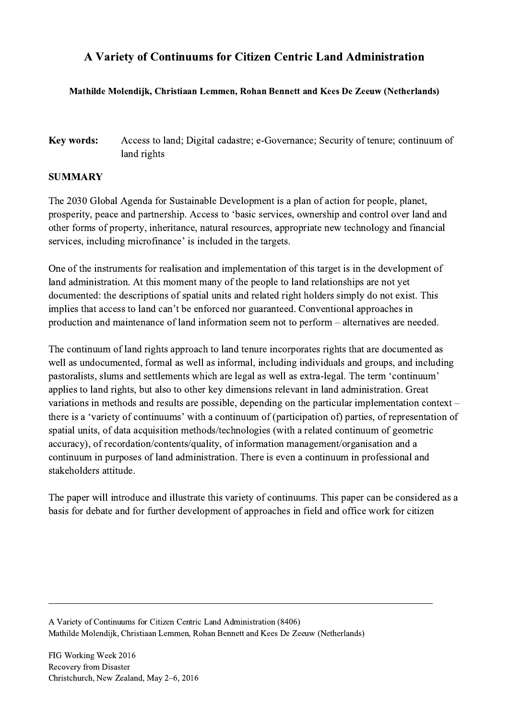## A Variety of Continuums for Citizen Centric Land Administration

## Mathilde Molendijk, Christiaan Lemmen, Rohan Bennett and Kees De Zeeuw (Netherlands)

Key words: Access to land; Digital cadastre; e-Governance; Security of tenure; continuum of land rights

## SUMMARY

The 2030 Global Agenda for Sustainable Development is a plan of action for people, planet, prosperity, peace and partnership. Access to 'basic services, ownership and control over land and other forms of property, inheritance, natural resources, appropriate new technology and financial services, including microfinance' is included in the targets.

One of the instruments for realisation and implementation of this target is in the development of land administration. At this moment many of the people to land relationships are not yet documented: the descriptions of spatial units and related right holders simply do not exist. This implies that access to land can't be enforced nor guaranteed. Conventional approaches in production and maintenance of land information seem not to perform – alternatives are needed.

The continuum of land rights approach to land tenure incorporates rights that are documented as well as undocumented, formal as well as informal, including individuals and groups, and including pastoralists, slums and settlements which are legal as well as extra-legal. The term 'continuum' applies to land rights, but also to other key dimensions relevant in land administration. Great variations in methods and results are possible, depending on the particular implementation context – there is a 'variety of continuums' with a continuum of (participation of) parties, of representation of spatial units, of data acquisition methods/technologies (with a related continuum of geometric accuracy), of recordation/contents/quality, of information management/organisation and a continuum in purposes of land administration. There is even a continuum in professional and stakeholders attitude.

The paper will introduce and illustrate this variety of continuums. This paper can be considered as a basis for debate and for further development of approaches in field and office work for citizen

 $\mathcal{L}_\mathcal{L} = \{ \mathcal{L}_\mathcal{L} = \{ \mathcal{L}_\mathcal{L} = \{ \mathcal{L}_\mathcal{L} = \{ \mathcal{L}_\mathcal{L} = \{ \mathcal{L}_\mathcal{L} = \{ \mathcal{L}_\mathcal{L} = \{ \mathcal{L}_\mathcal{L} = \{ \mathcal{L}_\mathcal{L} = \{ \mathcal{L}_\mathcal{L} = \{ \mathcal{L}_\mathcal{L} = \{ \mathcal{L}_\mathcal{L} = \{ \mathcal{L}_\mathcal{L} = \{ \mathcal{L}_\mathcal{L} = \{ \mathcal{L}_\mathcal{$ 

A Variety of Continuums for Citizen Centric Land Administration (8406) Mathilde Molendijk, Christiaan Lemmen, Rohan Bennett and Kees De Zeeuw (Netherlands)